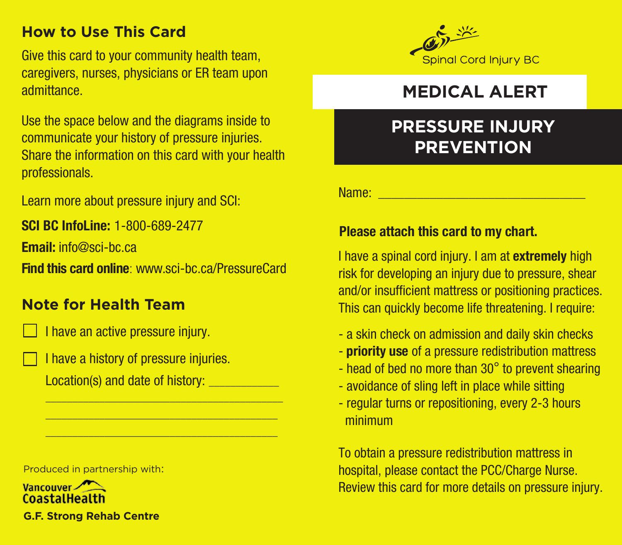## **How to Use This Card**

Give this card to your community health team, caregivers, nurses, physicians or ER team upon admittance.

Use the space below and the diagrams inside to communicate your history of pressure injuries. Share the information on this card with your health professionals.

Learn more about pressure injury and SCI:

**SCI BC InfoLine:** 1-800-689-2477

**Email:** info@sci-bc.ca

**Find this card online**: www.sci-bc.ca/PressureCard

### **Note for Health Team**



I have an active pressure injury.

I have a history of pressure injuries. Location(s) and date of history:

Produced in partnership with:

Vancouver CoastalHealth **G.F. Strong Rehab Centre**



## **MEDICAL ALERT**

# **PRESSURE INJURY PREVENTION**

Name: \_\_\_\_\_\_\_\_\_\_\_\_\_\_\_\_\_\_\_\_\_\_\_\_\_\_\_\_\_\_\_\_

#### **Please attach this card to my chart.**

I have a spinal cord injury. I am at **extremely** high risk for developing an injury due to pressure, shear and/or insufficient mattress or positioning practices. This can quickly become life threatening. I require:

- a skin check on admission and daily skin checks
- **priority use** of a pressure redistribution mattress
- head of bed no more than 30° to prevent shearing
- avoidance of sling left in place while sitting
- regular turns or repositioning, every 2-3 hours minimum

To obtain a pressure redistribution mattress in hospital, please contact the PCC/Charge Nurse. Review this card for more details on pressure injury.